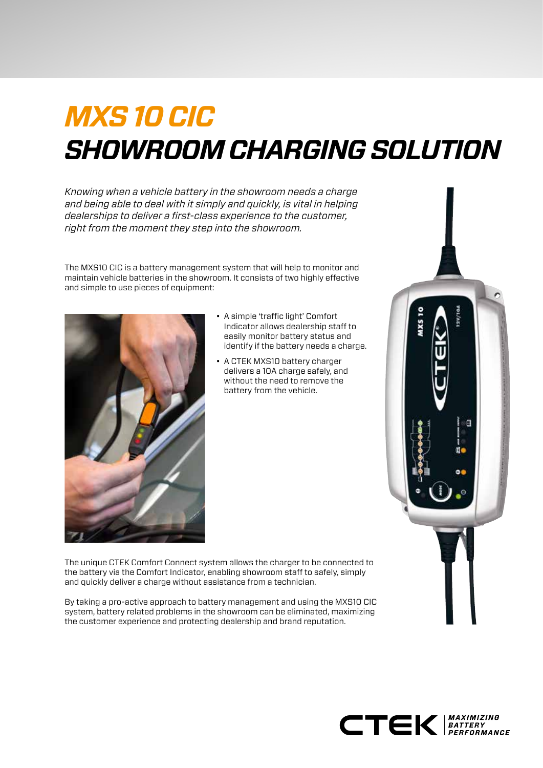# *MXS 10 CIC SHOWROOM CHARGING SOLUTION*

*Knowing when a vehicle battery in the showroom needs a charge and being able to deal with it simply and quickly, is vital in helping dealerships to deliver a first-class experience to the customer, right from the moment they step into the showroom.* 

The MXS10 CIC is a battery management system that will help to monitor and maintain vehicle batteries in the showroom. It consists of two highly effective and simple to use pieces of equipment:



- A simple 'traffic light' Comfort Indicator allows dealership staff to easily monitor battery status and identify if the battery needs a charge.
- A CTEK MXS10 battery charger delivers a 10A charge safely, and without the need to remove the battery from the vehicle.

The unique CTEK Comfort Connect system allows the charger to be connected to the battery via the Comfort Indicator, enabling showroom staff to safely, simply and quickly deliver a charge without assistance from a technician.

By taking a pro-active approach to battery management and using the MXS10 CIC system, battery related problems in the showroom can be eliminated, maximizing the customer experience and protecting dealership and brand reputation.